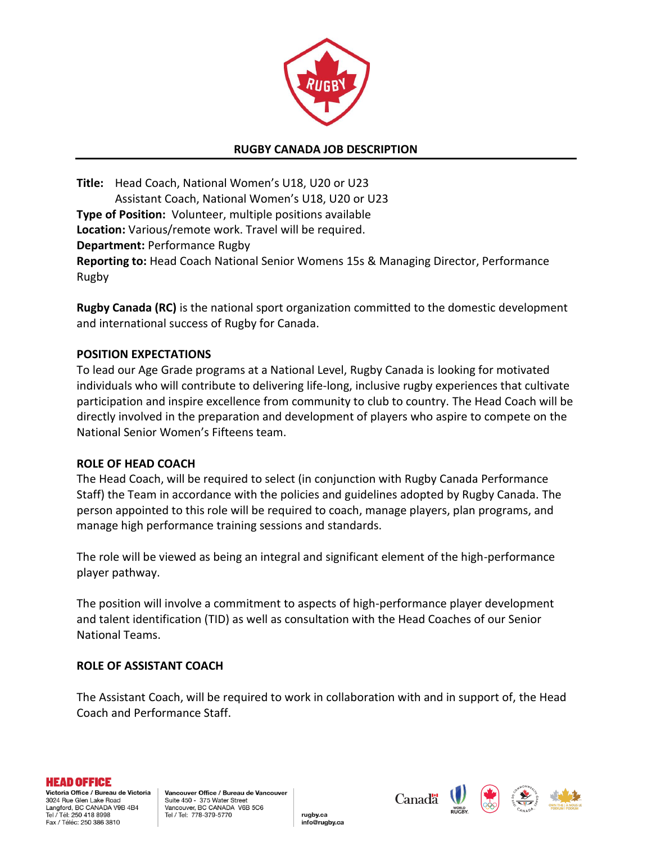

### **RUGBY CANADA JOB DESCRIPTION**

**Title:** Head Coach, National Women's U18, U20 or U23 Assistant Coach, National Women's U18, U20 or U23 **Type of Position:** Volunteer, multiple positions available **Location:** Various/remote work. Travel will be required. **Department:** Performance Rugby **Reporting to:** Head Coach National Senior Womens 15s & Managing Director, Performance Rugby

**Rugby Canada (RC)** is the national sport organization committed to the domestic development and international success of Rugby for Canada.

### **POSITION EXPECTATIONS**

To lead our Age Grade programs at a National Level, Rugby Canada is looking for motivated individuals who will contribute to delivering life-long, inclusive rugby experiences that cultivate participation and inspire excellence from community to club to country. The Head Coach will be directly involved in the preparation and development of players who aspire to compete on the National Senior Women's Fifteens team.

#### **ROLE OF HEAD COACH**

The Head Coach, will be required to select (in conjunction with Rugby Canada Performance Staff) the Team in accordance with the policies and guidelines adopted by Rugby Canada. The person appointed to this role will be required to coach, manage players, plan programs, and manage high performance training sessions and standards.

The role will be viewed as being an integral and significant element of the high-performance player pathway.

The position will involve a commitment to aspects of high-performance player development and talent identification (TID) as well as consultation with the Head Coaches of our Senior National Teams.

#### **ROLE OF ASSISTANT COACH**

The Assistant Coach, will be required to work in collaboration with and in support of, the Head Coach and Performance Staff.

rugby.ca

info@rugby.ca



Victoria Office / Bureau de Victoria 3024 Rue Glen Lake Road Langford, BC CANADA V9B 4B4 Tel / Tél: 250 418 8998 Fax / Téléc: 250 386 3810





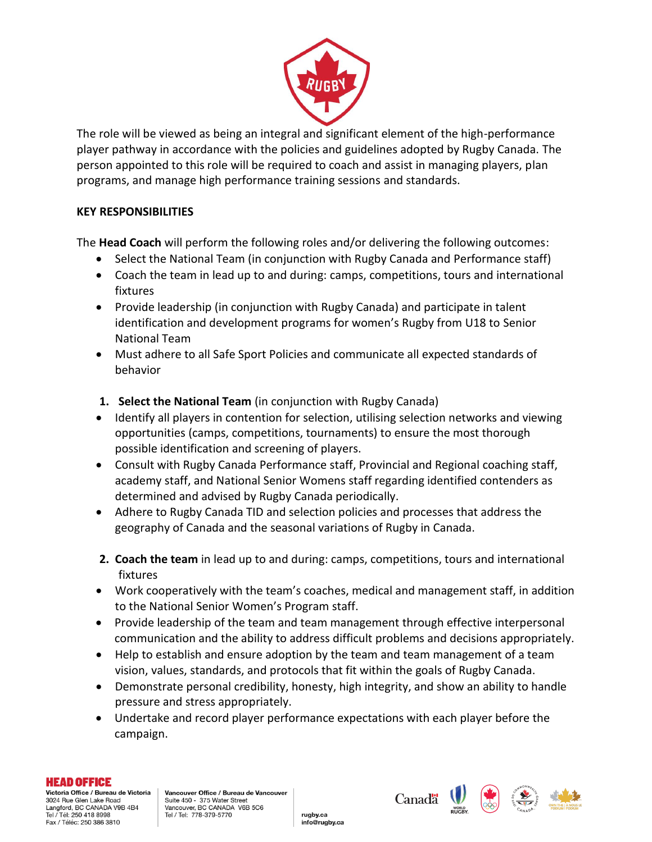

The role will be viewed as being an integral and significant element of the high-performance player pathway in accordance with the policies and guidelines adopted by Rugby Canada. The person appointed to this role will be required to coach and assist in managing players, plan programs, and manage high performance training sessions and standards.

## **KEY RESPONSIBILITIES**

The **Head Coach** will perform the following roles and/or delivering the following outcomes:

- Select the National Team (in conjunction with Rugby Canada and Performance staff)
- Coach the team in lead up to and during: camps, competitions, tours and international fixtures
- Provide leadership (in conjunction with Rugby Canada) and participate in talent identification and development programs for women's Rugby from U18 to Senior National Team
- Must adhere to all Safe Sport Policies and communicate all expected standards of behavior
- **1. Select the National Team** (in conjunction with Rugby Canada)
- Identify all players in contention for selection, utilising selection networks and viewing opportunities (camps, competitions, tournaments) to ensure the most thorough possible identification and screening of players.
- Consult with Rugby Canada Performance staff, Provincial and Regional coaching staff, academy staff, and National Senior Womens staff regarding identified contenders as determined and advised by Rugby Canada periodically.
- Adhere to Rugby Canada TID and selection policies and processes that address the geography of Canada and the seasonal variations of Rugby in Canada.
- **2. Coach the team** in lead up to and during: camps, competitions, tours and international fixtures
- Work cooperatively with the team's coaches, medical and management staff, in addition to the National Senior Women's Program staff.
- Provide leadership of the team and team management through effective interpersonal communication and the ability to address difficult problems and decisions appropriately.
- Help to establish and ensure adoption by the team and team management of a team vision, values, standards, and protocols that fit within the goals of Rugby Canada.
- Demonstrate personal credibility, honesty, high integrity, and show an ability to handle pressure and stress appropriately.
- Undertake and record player performance expectations with each player before the campaign.

rugby.ca

info@rugby.ca

#### **HEAD OFFICE**

Victoria Office / Bureau de Victoria 3024 Rue Glen Lake Road Langford, BC CANADA V9B 4B4 Tel / Tél: 250 418 8998 Fax / Téléc: 250 386 3810





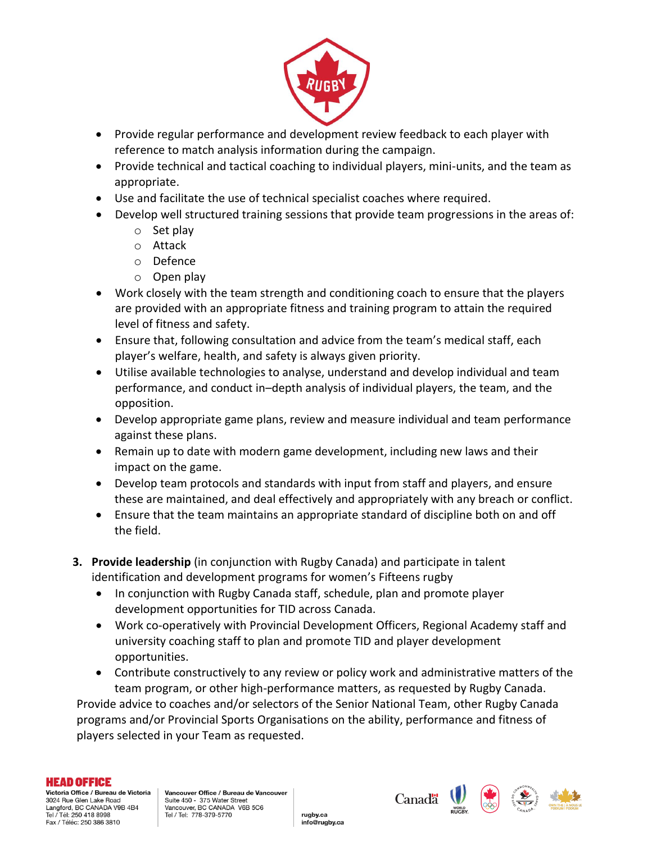

- Provide regular performance and development review feedback to each player with reference to match analysis information during the campaign.
- Provide technical and tactical coaching to individual players, mini-units, and the team as appropriate.
- Use and facilitate the use of technical specialist coaches where required.
- Develop well structured training sessions that provide team progressions in the areas of:
	- o Set play
	- o Attack
	- o Defence
	- o Open play
- Work closely with the team strength and conditioning coach to ensure that the players are provided with an appropriate fitness and training program to attain the required level of fitness and safety.
- Ensure that, following consultation and advice from the team's medical staff, each player's welfare, health, and safety is always given priority.
- Utilise available technologies to analyse, understand and develop individual and team performance, and conduct in–depth analysis of individual players, the team, and the opposition.
- Develop appropriate game plans, review and measure individual and team performance against these plans.
- Remain up to date with modern game development, including new laws and their impact on the game.
- Develop team protocols and standards with input from staff and players, and ensure these are maintained, and deal effectively and appropriately with any breach or conflict.
- Ensure that the team maintains an appropriate standard of discipline both on and off the field.
- **3. Provide leadership** (in conjunction with Rugby Canada) and participate in talent identification and development programs for women's Fifteens rugby
	- In conjunction with Rugby Canada staff, schedule, plan and promote player development opportunities for TID across Canada.
	- Work co-operatively with Provincial Development Officers, Regional Academy staff and university coaching staff to plan and promote TID and player development opportunities.
- Contribute constructively to any review or policy work and administrative matters of the team program, or other high-performance matters, as requested by Rugby Canada. Provide advice to coaches and/or selectors of the Senior National Team, other Rugby Canada programs and/or Provincial Sports Organisations on the ability, performance and fitness of players selected in your Team as requested.

rugby.ca

info@rugby.ca

#### **HEAD OFFICE**

Victoria Office / Bureau de Victoria 3024 Rue Glen Lake Road Langford, BC CANADA V9B 4B4 Tel / Tél: 250 418 8998 Fax / Téléc: 250 386 3810





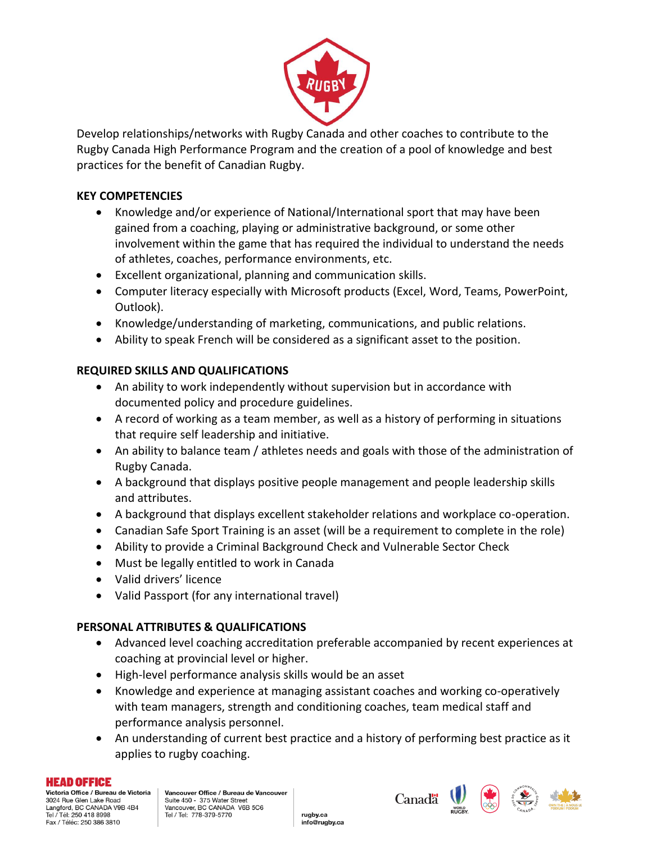

Develop relationships/networks with Rugby Canada and other coaches to contribute to the Rugby Canada High Performance Program and the creation of a pool of knowledge and best practices for the benefit of Canadian Rugby.

# **KEY COMPETENCIES**

- Knowledge and/or experience of National/International sport that may have been gained from a coaching, playing or administrative background, or some other involvement within the game that has required the individual to understand the needs of athletes, coaches, performance environments, etc.
- Excellent organizational, planning and communication skills.
- Computer literacy especially with Microsoft products (Excel, Word, Teams, PowerPoint, Outlook).
- Knowledge/understanding of marketing, communications, and public relations.
- Ability to speak French will be considered as a significant asset to the position.

# **REQUIRED SKILLS AND QUALIFICATIONS**

- An ability to work independently without supervision but in accordance with documented policy and procedure guidelines.
- A record of working as a team member, as well as a history of performing in situations that require self leadership and initiative.
- An ability to balance team / athletes needs and goals with those of the administration of Rugby Canada.
- A background that displays positive people management and people leadership skills and attributes.
- A background that displays excellent stakeholder relations and workplace co-operation.
- Canadian Safe Sport Training is an asset (will be a requirement to complete in the role)
- Ability to provide a Criminal Background Check and Vulnerable Sector Check
- Must be legally entitled to work in Canada
- Valid drivers' licence
- Valid Passport (for any international travel)

## **PERSONAL ATTRIBUTES & QUALIFICATIONS**

- Advanced level coaching accreditation preferable accompanied by recent experiences at coaching at provincial level or higher.
- High-level performance analysis skills would be an asset
- Knowledge and experience at managing assistant coaches and working co-operatively with team managers, strength and conditioning coaches, team medical staff and performance analysis personnel.
- An understanding of current best practice and a history of performing best practice as it applies to rugby coaching.

rugby.ca

info@rugby.ca

#### **HEAD OFFICE**

Victoria Office / Bureau de Victoria 3024 Rue Glen Lake Road Langford, BC CANADA V9B 4B4 Tel / Tél: 250 418 8998 Fax / Téléc: 250 386 3810